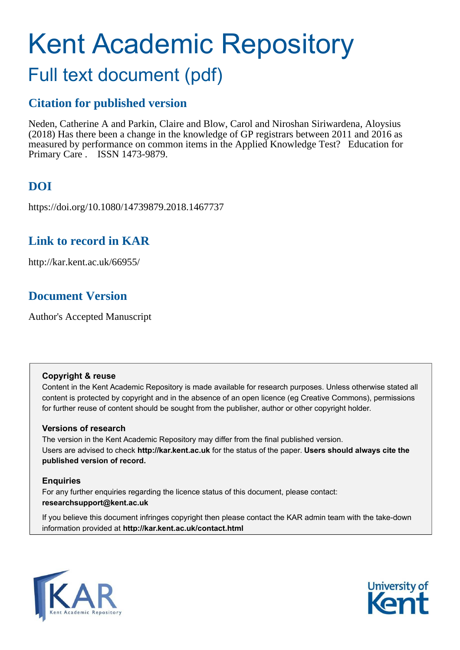# Kent Academic Repository

# Full text document (pdf)

## **Citation for published version**

Neden, Catherine A and Parkin, Claire and Blow, Carol and Niroshan Siriwardena, Aloysius (2018) Has there been a change in the knowledge of GP registrars between 2011 and 2016 as measured by performance on common items in the Applied Knowledge Test? Education for Primary Care . ISSN 1473-9879.

# **DOI**

https://doi.org/10.1080/14739879.2018.1467737

# **Link to record in KAR**

http://kar.kent.ac.uk/66955/

# **Document Version**

Author's Accepted Manuscript

## **Copyright & reuse**

Content in the Kent Academic Repository is made available for research purposes. Unless otherwise stated all content is protected by copyright and in the absence of an open licence (eg Creative Commons), permissions for further reuse of content should be sought from the publisher, author or other copyright holder.

## **Versions of research**

The version in the Kent Academic Repository may differ from the final published version. Users are advised to check **http://kar.kent.ac.uk** for the status of the paper. **Users should always cite the published version of record.**

## **Enquiries**

For any further enquiries regarding the licence status of this document, please contact: **researchsupport@kent.ac.uk**

If you believe this document infringes copyright then please contact the KAR admin team with the take-down information provided at **http://kar.kent.ac.uk/contact.html**



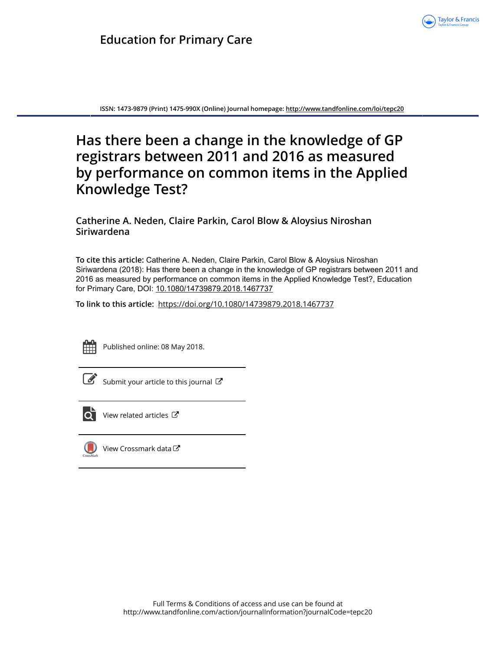<span id="page-1-7"></span>

<span id="page-1-2"></span>**ISSN: 1473-9879 (Print) 1475-990X (Online) Journal homepage: <http://www.tandfonline.com/loi/tepc20>**

# <span id="page-1-3"></span><span id="page-1-1"></span><span id="page-1-0"></span>**Has there been a change in the knowledge of GP registrars between 2011 and 2016 as measured by performance on common items in the Applied Knowledge Test?**

## **Catherine A. Neden, Claire Parkin, Carol Blow & Aloysius Niroshan Siriwardena**

**To cite this article:** Catherine A. Neden, Claire Parkin, Carol Blow & Aloysius Niroshan Siriwardena (2018): Has there been a change in the knowledge of GP registrars between 2011 and 2016 as measured by performance on common items in the Applied Knowledge Test?, Education for Primary Care, DOI: [10.1080/14739879.2018.1467737](http://www.tandfonline.com/action/showCitFormats?doi=10.1080/14739879.2018.1467737)

**To link to this article:** <https://doi.org/10.1080/14739879.2018.1467737>



<span id="page-1-11"></span><span id="page-1-10"></span><span id="page-1-9"></span><span id="page-1-6"></span><span id="page-1-5"></span>Published online: 08 May 2018.



 $\overline{\mathscr{L}}$  [Submit your article to this journal](http://www.tandfonline.com/action/authorSubmission?journalCode=tepc20&show=instructions)  $\mathbb{Z}$ 



<span id="page-1-12"></span> $\overline{Q}$  [View related articles](http://www.tandfonline.com/doi/mlt/10.1080/14739879.2018.1467737)  $\overline{C}$ 



<span id="page-1-13"></span><span id="page-1-8"></span><span id="page-1-4"></span>[View Crossmark data](http://crossmark.crossref.org/dialog/?doi=10.1080/14739879.2018.1467737&domain=pdf&date_stamp=2018-05-08)  $\sigma$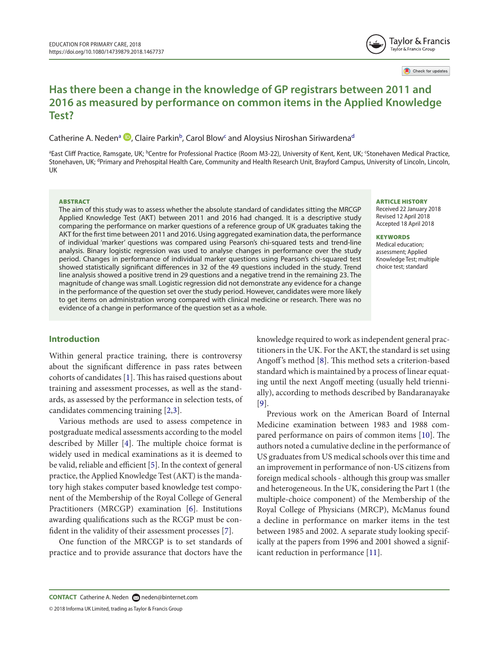

Check for updates

## **Has there been a change in the knowledge of GP registrars between 2011 and 2016 as measured by performance on common items in the Applied Knowledge Test?**

C[a](#page-1-0)therine A. Neden<sup>a (D</sup>[,](http://orcid.org/0000-0001-6293-2960) Claire Parkin<sup>[b](#page-1-1)</sup>, Carol Blow<sup>[c](#page-1-2)</sup> an[d](#page-1-3) Aloysius Niroshan Siriwardena<sup>d</sup>

<sup>a</sup>East Cliff Practice, Ramsgate, UK; <sup>b</sup>Centre for Professional Practice (Room M3-22), University of Kent, Kent, UK; <sup>c</sup>Stonehaven Medical Practice, Stonehaven, UK; <sup>d</sup>Primary and Prehospital Health Care, Community and Health Research Unit, Brayford Campus, University of Lincoln, Lincoln, uK

#### ABSTRACT

The aim of this study was to assess whether the absolute standard of candidates sitting the MRCGP Applied Knowledge Test (AKT) between 2011 and 2016 had changed. It is a descriptive study comparing the performance on marker questions of a reference group of UK graduates taking the AKT for the first time between 2011 and 2016. Using aggregated examination data, the performance of individual 'marker' questions was compared using Pearson's chi-squared tests and trend-line analysis. Binary logistic regression was used to analyse changes in performance over the study period. Changes in performance of individual marker questions using Pearson's chi-squared test showed statistically significant differences in 32 of the 49 questions included in the study. Trend line analysis showed a positive trend in 29 questions and a negative trend in the remaining 23. The magnitude of change was small. Logistic regression did not demonstrate any evidence for a change in the performance of the question set over the study period. However, candidates were more likely to get items on administration wrong compared with clinical medicine or research. There was no evidence of a change in performance of the question set as a whole.

#### ARTICLE HISTORY

<span id="page-2-0"></span>Received 22 January 2018 Revised 12 April 2018 accepted 18 april 2018

<span id="page-2-1"></span>**KEYWORDS** Medical education: assessment; applied Knowledge Test; multiple choice test; standard

#### **Introduction**

Within general practice training, there is controversy about the significant difference in pass rates between cohorts of candidates [[1\]](#page-6-0). This has raised questions about training and assessment processes, as well as the standards, as assessed by the performance in selection tests, of candidates commencing training [[2,](#page-6-1)[3](#page-6-2)].

Various methods are used to assess competence in postgraduate medical assessments according to the model described by Miller  $[4]$  $[4]$ . The multiple choice format is widely used in medical examinations as it is deemed to be valid, reliable and efficient [\[5](#page-6-4)]. In the context of general practice, the Applied Knowledge Test (AKT) is the mandatory high stakes computer based knowledge test component of the Membership of the Royal College of General Practitioners (MRCGP) examination [[6\]](#page-6-5). Institutions awarding qualifications such as the RCGP must be con-fident in the validity of their assessment processes [\[7](#page-6-6)].

One function of the MRCGP is to set standards of practice and to provide assurance that doctors have the

knowledge required to work as independent general practitioners in the UK. For the AKT, the standard is set using Angoff's method [[8\]](#page-6-7). This method sets a criterion-based standard which is maintained by a process of linear equating until the next Angoff meeting (usually held triennially), according to methods described by Bandaranayake [\[9](#page-6-8)].

Previous work on the American Board of Internal Medicine examination between 1983 and 1988 com-pared performance on pairs of common items [[10\]](#page-6-9). The authors noted a cumulative decline in the performance of US graduates from US medical schools over this time and an improvement in performance of non-US citizens from foreign medical schools - although this group was smaller and heterogeneous. In the UK, considering the Part 1 (the multiple-choice component) of the Membership of the Royal College of Physicians (MRCP), McManus found a decline in performance on marker items in the test between 1985 and 2002. A separate study looking specifically at the papers from 1996 and 2001 showed a significant reduction in performance [[11\]](#page-6-10).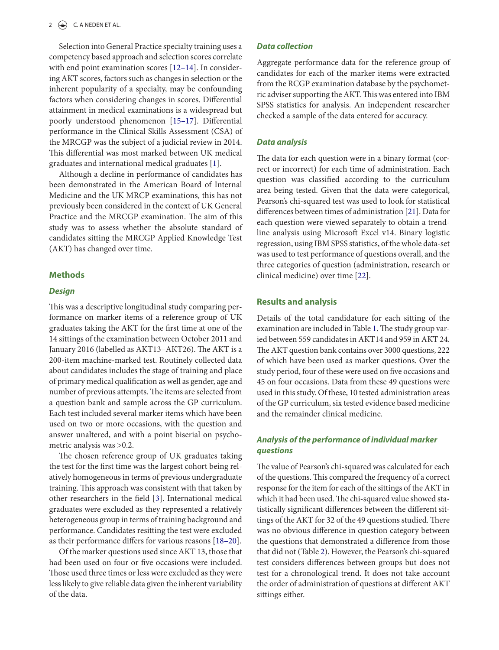<span id="page-3-0"></span>Selection into General Practice specialty training uses a competency based approach and selection scores correlate with end point examination scores [[12–14](#page-6-13)]. In considering AKT scores, factors such as changes in selection or the inherent popularity of a specialty, may be confounding factors when considering changes in scores. Diferential attainment in medical examinations is a widespread but poorly understood phenomenon [\[15–17\]](#page-6-14). Diferential performance in the Clinical Skills Assessment (CSA) of the MRCGP was the subject of a judicial review in 2014. his diferential was most marked between UK medical graduates and international medical graduates [[1\]](#page-6-0).

<span id="page-3-1"></span>Although a decline in performance of candidates has been demonstrated in the American Board of Internal Medicine and the UK MRCP examinations, this has not previously been considered in the context of UK General Practice and the MRCGP examination. The aim of this study was to assess whether the absolute standard of candidates sitting the MRCGP Applied Knowledge Test (AKT) has changed over time.

#### **Methods**

#### **Design**

his was a descriptive longitudinal study comparing performance on marker items of a reference group of UK graduates taking the AKT for the first time at one of the 14 sittings of the examination between October 2011 and January 2016 (labelled as AKT13-AKT26). The AKT is a 200-item machine-marked test. Routinely collected data about candidates includes the stage of training and place of primary medical qualification as well as gender, age and number of previous attempts. The items are selected from a question bank and sample across the GP curriculum. Each test included several marker items which have been used on two or more occasions, with the question and answer unaltered, and with a point biserial on psychometric analysis was >0.2.

<span id="page-3-2"></span>The chosen reference group of UK graduates taking the test for the first time was the largest cohort being relatively homogeneous in terms of previous undergraduate training. This approach was consistent with that taken by other researchers in the field [[3\]](#page-6-2). International medical graduates were excluded as they represented a relatively heterogeneous group in terms of training background and performance. Candidates resitting the test were excluded as their performance difers for various reasons [\[18–20](#page-6-15)].

Of the marker questions used since AKT 13, those that had been used on four or ive occasions were included. hose used three times or less were excluded as they were less likely to give reliable data given the inherent variability of the data.

#### **Data collection**

Aggregate performance data for the reference group of candidates for each of the marker items were extracted from the RCGP examination database by the psychometric adviser supporting the AKT. This was entered into IBM SPSS statistics for analysis. An independent researcher checked a sample of the data entered for accuracy.

#### **Data analysis**

The data for each question were in a binary format (correct or incorrect) for each time of administration. Each question was classified according to the curriculum area being tested. Given that the data were categorical, Pearson's chi-squared test was used to look for statistical diferences between times of administration [\[21](#page-6-11)]. Data for each question were viewed separately to obtain a trendline analysis using Microsot Excel v14. Binary logistic regression, using IBM SPSS statistics, of the whole data-set was used to test performance of questions overall, and the three categories of question (administration, research or clinical medicine) over time [[22](#page-6-12)].

#### **Results and analysis**

Details of the total candidature for each sitting of the examination are included in Table [1](#page-3-0). The study group varied between 559 candidates in AKT14 and 959 in AKT 24. The AKT question bank contains over 3000 questions, 222 of which have been used as marker questions. Over the study period, four of these were used on five occasions and 45 on four occasions. Data from these 49 questions were used in this study. Of these, 10 tested administration areas of the GP curriculum, six tested evidence based medicine and the remainder clinical medicine.

#### **Analysis of the performance of individual marker questions**

he value of Pearson's chi-squared was calculated for each of the questions. This compared the frequency of a correct response for the item for each of the sittings of the AKT in which it had been used. The chi-squared value showed statistically significant differences between the different sittings of the AKT for 32 of the 49 questions studied. There was no obvious diference in question category between the questions that demonstrated a diference from those that did not (Table [2](#page-3-1)). However, the Pearson's chi-squared test considers diferences between groups but does not test for a chronological trend. It does not take account the order of administration of questions at diferent AKT sittings either.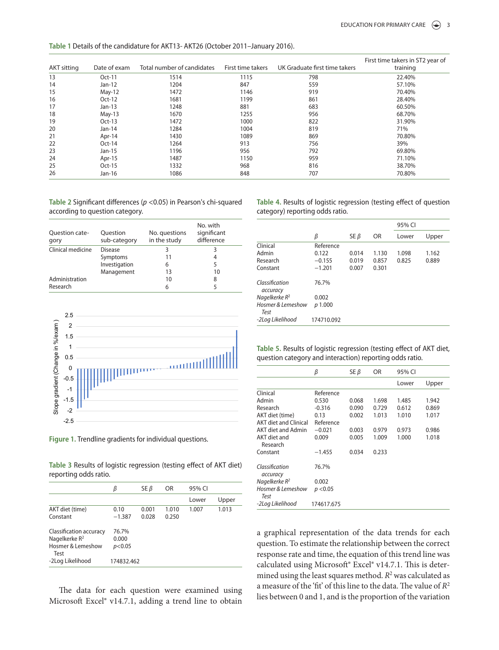| Table 1 Details of the candidature for AKT13- AKT26 (October 2011-January 2016). |  |  |
|----------------------------------------------------------------------------------|--|--|
|----------------------------------------------------------------------------------|--|--|

| <b>AKT sitting</b> | Date of exam | Total number of candidates | First time takers | UK Graduate first time takers | First time takers in ST2 year of<br>training |
|--------------------|--------------|----------------------------|-------------------|-------------------------------|----------------------------------------------|
| 13                 | $Oct-11$     | 1514                       | 1115              | 798                           | 22.40%                                       |
| 14                 | $Jan-12$     | 1204                       | 847               | 559                           | 57.10%                                       |
| 15                 | $May-12$     | 1472                       | 1146              | 919                           | 70.40%                                       |
| 16                 | $Oct-12$     | 1681                       | 1199              | 861                           | 28.40%                                       |
| 17                 | $Jan-13$     | 1248                       | 881               | 683                           | 60.50%                                       |
| 18                 | $May-13$     | 1670                       | 1255              | 956                           | 68.70%                                       |
| 19                 | $Oct-13$     | 1472                       | 1000              | 822                           | 31.90%                                       |
| 20                 | $Jan-14$     | 1284                       | 1004              | 819                           | 71%                                          |
| 21                 | Apr-14       | 1430                       | 1089              | 869                           | 70.80%                                       |
| 22                 | $Oct-14$     | 1264                       | 913               | 756                           | 39%                                          |
| 23                 | Jan-15       | 1196                       | 956               | 792                           | 69.80%                                       |
| 24                 | Apr-15       | 1487                       | 1150              | 959                           | 71.10%                                       |
| 25                 | $Oct-15$     | 1332                       | 968               | 816                           | 38.70%                                       |
| 26                 | Jan-16       | 1086                       | 848               | 707                           | 70.80%                                       |

Table 2 Significant differences (p <0.05) in Pearson's chi-squared according to question category.

| Question cate-<br>gory | Ouestion<br>sub-category | No. questions<br>in the study | No. with<br>significant<br>difference |
|------------------------|--------------------------|-------------------------------|---------------------------------------|
| Clinical medicine      | <b>Disease</b>           | 3                             | 3                                     |
|                        | Symptoms                 | 11                            | 4                                     |
|                        | Investigation            | 6                             | 5                                     |
|                        | Management               | 13                            | 10                                    |
| Administration         |                          | 10                            | 8                                     |
| Research               |                          | 6                             |                                       |



**Figure 1.** trendline gradients for individual questions.

Table 3 Results of logistic regression (testing effect of AKT diet) reporting odds ratio.

|                                                                          | β                        | $SE \beta$     | OR             | 95% CI |       |
|--------------------------------------------------------------------------|--------------------------|----------------|----------------|--------|-------|
|                                                                          |                          |                |                | Lower  | Upper |
| AKT diet (time)<br>Constant                                              | 0.10<br>$-1.387$         | 0.001<br>0.028 | 1.010<br>0.250 | 1.007  | 1.013 |
| Classification accuracy<br>Nagelkerke $R^2$<br>Hosmer & Lemeshow<br>Test | 76.7%<br>0.000<br>p<0.05 |                |                |        |       |
| -2Log Likelihood                                                         | 174832.462               |                |                |        |       |

he data for each question were examined using Microsoft Excel® v14.7.1, adding a trend line to obtain <span id="page-4-0"></span>Table 4. Results of logistic regression (testing effect of question category) reporting odds ratio.

|                            |            |            |       | 95% CI |       |
|----------------------------|------------|------------|-------|--------|-------|
|                            | β          | $SE \beta$ | 0R    | Lower  | Upper |
| Clinical                   | Reference  |            |       |        |       |
| Admin                      | 0.122      | 0.014      | 1.130 | 1.098  | 1.162 |
| Research                   | $-0.155$   | 0.019      | 0.857 | 0.825  | 0.889 |
| Constant                   | $-1.201$   | 0.007      | 0.301 |        |       |
| Classification<br>accuracy | 76.7%      |            |       |        |       |
| Nagelkerke $R^2$           | 0.002      |            |       |        |       |
| Hosmer & Lemeshow<br>Test  | p 1.000    |            |       |        |       |
| -2Log Likelihood           | 174710.092 |            |       |        |       |

Table 5. Results of logistic regression (testing effect of AKT diet, question category and interaction) reporting odds ratio.

<span id="page-4-1"></span>

|                              | β          | $SE \beta$ | <b>OR</b> | 95% CI |       |
|------------------------------|------------|------------|-----------|--------|-------|
|                              |            |            |           | Lower  | Upper |
| Clinical                     | Reference  |            |           |        |       |
| Admin                        | 0.530      | 0.068      | 1.698     | 1.485  | 1.942 |
| Research                     | $-0.316$   | 0.090      | 0.729     | 0.612  | 0.869 |
| AKT diet (time)              | 0.13       | 0.002      | 1.013     | 1.010  | 1.017 |
| <b>AKT diet and Clinical</b> | Reference  |            |           |        |       |
| <b>AKT</b> diet and Admin    | $-0.021$   | 0.003      | 0.979     | 0.973  | 0.986 |
| AKT diet and<br>Research     | 0.009      | 0.005      | 1.009     | 1.000  | 1.018 |
| Constant                     | $-1.455$   | 0.034      | 0.233     |        |       |
| Classification<br>accuracy   | 76.7%      |            |           |        |       |
| Nagelkerke $R^2$             | 0.002      |            |           |        |       |
| Hosmer & Lemeshow<br>Test    | p < 0.05   |            |           |        |       |
| -2Log Likelihood             | 174617.675 |            |           |        |       |

<span id="page-4-2"></span>a graphical representation of the data trends for each question. To estimate the relationship between the correct response rate and time, the equation of this trend line was calculated using Microsoft® Excel® v14.7.1. This is determined using the least squares method.  $R^2$  was calculated as a measure of the 'fit' of this line to the data. The value of  $R^2$ lies between 0 and 1, and is the proportion of the variation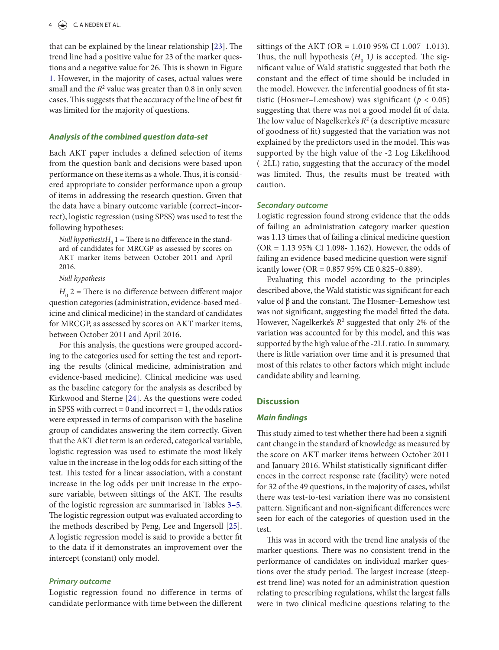that can be explained by the linear relationship  $[23]$  $[23]$ . The trend line had a positive value for 23 of the marker questions and a negative value for 26. This is shown in Figure [1](#page-3-2). However, in the majority of cases, actual values were small and the  $R^2$  value was greater than 0.8 in only seven cases. This suggests that the accuracy of the line of best fit was limited for the majority of questions.

#### **Analysis of the combined question data-set**

Each AKT paper includes a defined selection of items from the question bank and decisions were based upon performance on these items as a whole. Thus, it is considered appropriate to consider performance upon a group of items in addressing the research question. Given that the data have a binary outcome variable (correct–incorrect), logistic regression (using SPSS) was used to test the following hypotheses:

*Null hypothesisH*<sup> $0$ </sup> 1 = There is no difference in the standard of candidates for MRCGP as assessed by scores on AKT marker items between October 2011 and April 2016.

#### Null hypothesis

 $H_0$  2 = There is no difference between different major question categories (administration, evidence-based medicine and clinical medicine) in the standard of candidates for MRCGP, as assessed by scores on AKT marker items, between October 2011 and April 2016.

For this analysis, the questions were grouped according to the categories used for setting the test and reporting the results (clinical medicine, administration and evidence-based medicine). Clinical medicine was used as the baseline category for the analysis as described by Kirkwood and Sterne [[24\]](#page-7-0). As the questions were coded in SPSS with correct  $= 0$  and incorrect  $= 1$ , the odds ratios were expressed in terms of comparison with the baseline group of candidates answering the item correctly. Given that the AKT diet term is an ordered, categorical variable, logistic regression was used to estimate the most likely value in the increase in the log odds for each sitting of the test. This tested for a linear association, with a constant increase in the log odds per unit increase in the exposure variable, between sittings of the AKT. The results of the logistic regression are summarised in Tables 3–5. he logistic regression output was evaluated according to the methods described by Peng, Lee and Ingersoll [[25\]](#page-7-1). A logistic regression model is said to provide a better it to the data if it demonstrates an improvement over the intercept (constant) only model.

#### **Primary outcome**

Logistic regression found no diference in terms of candidate performance with time between the diferent

sittings of the AKT (OR = 1.010 95% CI 1.007–1.013). Thus, the null hypothesis  $(H_0 1)$  is accepted. The significant value of Wald statistic suggested that both the constant and the efect of time should be included in the model. However, the inferential goodness of fit statistic (Hosmer–Lemeshow) was significant ( $p < 0.05$ ) suggesting that there was not a good model fit of data. The low value of Nagelkerke's  $R^2$  (a descriptive measure of goodness of it) suggested that the variation was not explained by the predictors used in the model. This was supported by the high value of the -2 Log Likelihood (-2LL) ratio, suggesting that the accuracy of the model was limited. Thus, the results must be treated with caution.

#### <span id="page-5-2"></span><span id="page-5-1"></span><span id="page-5-0"></span>**Secondary outcome**

Logistic regression found strong evidence that the odds of failing an administration category marker question was 1.13 times that of failing a clinical medicine question (OR = 1.13 95% CI 1.098- 1.162). However, the odds of failing an evidence-based medicine question were significantly lower (OR = 0.857 95% CE 0.825–0.889).

Evaluating this model according to the principles described above, the Wald statistic was significant for each value of  $β$  and the constant. The Hosmer–Lemeshow test was not significant, suggesting the model fitted the data. However, Nagelkerke's  $R^2$  suggested that only 2% of the variation was accounted for by this model, and this was supported by the high value of the -2LL ratio. In summary, there is little variation over time and it is presumed that most of this relates to other factors which might include candidate ability and learning.

#### <span id="page-5-3"></span>**Discussion**

#### **Main findings**

This study aimed to test whether there had been a significant change in the standard of knowledge as measured by the score on AKT marker items between October 2011 and January 2016. Whilst statistically significant differences in the correct response rate (facility) were noted for 32 of the 49 questions, in the majority of cases, whilst there was test-to-test variation there was no consistent pattern. Significant and non-significant differences were seen for each of the categories of question used in the test.

his was in accord with the trend line analysis of the marker questions. There was no consistent trend in the performance of candidates on individual marker questions over the study period. The largest increase (steepest trend line) was noted for an administration question relating to prescribing regulations, whilst the largest falls were in two clinical medicine questions relating to the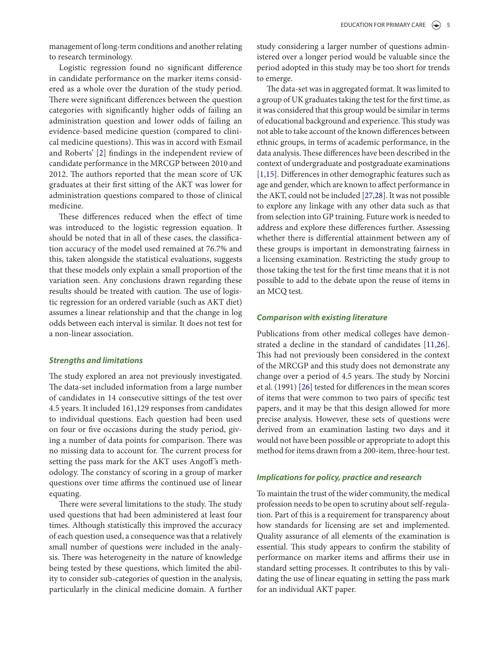management of long-term conditions and another relating to research terminology.

Logistic regression found no significant difference in candidate performance on the marker items considered as a whole over the duration of the study period. There were significant differences between the question categories with significantly higher odds of failing an administration question and lower odds of failing an evidence-based medicine question (compared to clinical medicine questions). This was in accord with Esmail and Roberts' [\[2](#page-6-1)] findings in the independent review of candidate performance in the MRCGP between 2010 and 2012. he authors reported that the mean score of UK graduates at their first sitting of the AKT was lower for administration questions compared to those of clinical medicine.

These differences reduced when the effect of time was introduced to the logistic regression equation. It should be noted that in all of these cases, the classification accuracy of the model used remained at 76.7% and this, taken alongside the statistical evaluations, suggests that these models only explain a small proportion of the variation seen. Any conclusions drawn regarding these results should be treated with caution. The use of logistic regression for an ordered variable (such as AKT diet) assumes a linear relationship and that the change in log odds between each interval is similar. It does not test for a non-linear association.

#### **Strengths and limitations**

<span id="page-6-0"></span>he study explored an area not previously investigated. The data-set included information from a large number of candidates in 14 consecutive sittings of the test over 4.5 years. It included 161,129 responses from candidates to individual questions. Each question had been used on four or ive occasions during the study period, giving a number of data points for comparison. There was no missing data to account for. The current process for setting the pass mark for the AKT uses Angof 's methodology. The constancy of scoring in a group of marker questions over time affirms the continued use of linear equating.

<span id="page-6-4"></span><span id="page-6-3"></span><span id="page-6-2"></span><span id="page-6-1"></span>There were several limitations to the study. The study used questions that had been administered at least four times. Although statistically this improved the accuracy of each question used, a consequence was that a relatively small number of questions were included in the analysis. There was heterogeneity in the nature of knowledge being tested by these questions, which limited the ability to consider sub-categories of question in the analysis, particularly in the clinical medicine domain. A further <span id="page-6-5"></span>study considering a larger number of questions administered over a longer period would be valuable since the period adopted in this study may be too short for trends to emerge.

<span id="page-6-9"></span><span id="page-6-8"></span><span id="page-6-7"></span><span id="page-6-6"></span>The data-set was in aggregated format. It was limited to a group of UK graduates taking the test for the first time, as it was considered that this group would be similar in terms of educational background and experience. This study was not able to take account of the known diferences between ethnic groups, in terms of academic performance, in the data analysis. These differences have been described in the context of undergraduate and postgraduate examinations [\[1](#page-6-0),[15\]](#page-6-14). Diferences in other demographic features such as age and gender, which are known to afect performance in the AKT, could not be included [[27](#page-7-2),[28\]](#page-7-3). It was not possible to explore any linkage with any other data such as that from selection into GP training. Future work is needed to address and explore these diferences further. Assessing whether there is diferential attainment between any of these groups is important in demonstrating fairness in a licensing examination. Restricting the study group to those taking the test for the first time means that it is not possible to add to the debate upon the reuse of items in an MCQ test.

#### <span id="page-6-13"></span><span id="page-6-10"></span>**Comparison with existing literature**

<span id="page-6-14"></span>Publications from other medical colleges have demonstrated a decline in the standard of candidates [[11](#page-6-10)[,26](#page-7-4)]. his had not previously been considered in the context of the MRCGP and this study does not demonstrate any change over a period of 4.5 years. The study by Norcini et al. (1991) [\[26\]](#page-7-4) tested for diferences in the mean scores of items that were common to two pairs of specific test papers, and it may be that this design allowed for more precise analysis. However, these sets of questions were derived from an examination lasting two days and it would not have been possible or appropriate to adopt this method for items drawn from a 200-item, three-hour test.

#### <span id="page-6-15"></span>**Implications for policy, practice and research**

<span id="page-6-16"></span><span id="page-6-12"></span><span id="page-6-11"></span>To maintain the trust of the wider community, the medical profession needs to be open to scrutiny about self-regulation. Part of this is a requirement for transparency about how standards for licensing are set and implemented. Quality assurance of all elements of the examination is essential. This study appears to confirm the stability of performance on marker items and affirms their use in standard setting processes. It contributes to this by validating the use of linear equating in setting the pass mark for an individual AKT paper.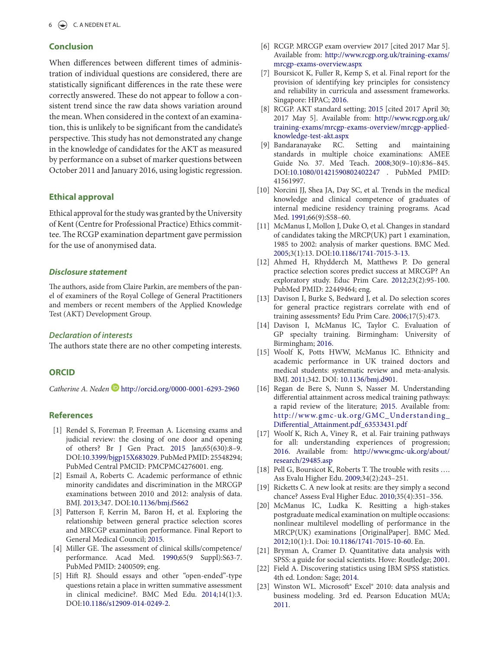#### <span id="page-7-0"></span>**Conclusion**

<span id="page-7-4"></span><span id="page-7-1"></span>When diferences between diferent times of administration of individual questions are considered, there are statistically significant differences in the rate these were correctly answered. These do not appear to follow a consistent trend since the raw data shows variation around the mean. When considered in the context of an examination, this is unlikely to be significant from the candidate's perspective. This study has not demonstrated any change in the knowledge of candidates for the AKT as measured by performance on a subset of marker questions between October 2011 and January 2016, using logistic regression.

#### **Ethical approval**

Ethical approval for the study was granted by the University of Kent (Centre for Professional Practice) Ethics committee. The RCGP examination department gave permission for the use of anonymised data.

#### **Disclosure statement**

The authors, aside from Claire Parkin, are members of the panel of examiners of the Royal College of General Practitioners and members or recent members of the Applied Knowledge Test (AKT) Development Group.

#### **Declaration of interests**

he authors state there are no other competing interests.

#### **ORCID**

CatherineA. Neden **b** <http://orcid.org/0000-0001-6293-2960>

#### **References**

- [1] Rendel S, Foreman P, Freeman A. Licensing exams and judicial review: the closing of one door and opening of others? Br J Gen Pract. [2015](#page-1-9) Jan;65(630):8–9. DOI[:10.3399/bjgp15X683029](https://doi.org/10.3399/bjgp15X683029). PubMed PMID: 25548294; PubMed Central PMCID: PMCPMC4276001. eng.
- [2] Esmail A, Roberts C. Academic performance of ethnic minority candidates and discrimination in the MRCGP examinations between 2010 and 2012: analysis of data. BMJ. [2013;](#page-1-10)347. DOI:[10.1136/bmj.f5662](https://doi.org/10.1136/bmj.f5662)
- [3] Patterson F, Kerrin M, Baron H, et al. Exploring the relationship between general practice selection scores and MRCGP examination performance. Final Report to General Medical Council; [2015.](#page-1-11)
- [4] Miller GE. The assessment of clinical skills/competence/ performance. Acad Med. [1990;](#page-1-12)65(9 Suppl):S63-7. PubMed PMID: 2400509; eng.
- [5] Hift RJ. Should essays and other "open-ended"-type questions retain a place in written summative assessment in clinical medicine?. BMC Med Edu. [2014](#page-1-13);14(1):3. DOI[:10.1186/s12909-014-0249-2.](https://doi.org/10.1186/s12909-014-0249-2)
- <span id="page-7-2"></span> [6] RCGP. MRCGP exam overview 2017 [cited 2017 Mar 5]. Available from: [http://www.rcgp.org.uk/training-exams/](http://www.rcgp.org.uk/training-exams/mrcgp-exams-overview.aspx) [mrcgp-exams-overview.aspx](http://www.rcgp.org.uk/training-exams/mrcgp-exams-overview.aspx)
- <span id="page-7-3"></span>[7] Boursicot K, Fuller R, Kemp S, et al. Final report for the provision of identifying key principles for consistency and reliability in curricula and assessment frameworks. Singapore: HPAC; [2016](#page-1-4).
- [8] RCGP. AKT standard setting; [2015](#page-1-5) [cited 2017 April 30; 2017 May 5]. Available from: [http://www.rcgp.org.uk/](http://www.rcgp.org.uk/training-exams/mrcgp-exams-overview/mrcgp-applied-knowledge-test-akt.aspx) [training-exams/mrcgp-exams-overview/mrcgp-applied](http://www.rcgp.org.uk/training-exams/mrcgp-exams-overview/mrcgp-applied-knowledge-test-akt.aspx)[knowledge-test-akt.aspx](http://www.rcgp.org.uk/training-exams/mrcgp-exams-overview/mrcgp-applied-knowledge-test-akt.aspx)
- [9] Bandaranayake RC. Setting and maintaining standards in multiple choice examinations: AMEE Guide No. 37. Med Teach. [2008](#page-1-6);30(9–10):836–845. DOI:[10.1080/01421590802402247](https://doi.org/10.1080/01421590802402247) . PubMed PMID: 41561997.
- [10] Norcini JJ, Shea JA, Day SC, et al. Trends in the medical knowledge and clinical competence of graduates of internal medicine residency training programs. Acad Med. [1991;](#page-1-7)66(9):S58–60.
- [11] McManus I, Mollon J, Duke O, et al. Changes in standard of candidates taking the MRCP(UK) part 1 examination, 1985 to 2002: analysis of marker questions. BMC Med. [2005](#page-1-8);3(1):13. DOI[:10.1186/1741-7015-3-13](https://doi.org/10.1186/1741-7015-3-13).
- [12] Ahmed H, Rhydderch M, Matthews P. Do general practice selection scores predict success at MRCGP? An exploratory study. Educ Prim Care. 2012;23(2):95-100. PubMed PMID: 22449464; eng.
- [13] Davison I, Burke S, Bedward J, et al. Do selection scores for general practice registrars correlate with end of training assessments? Edu Prim Care. 2006;17(5):473.
- [14] Davison I, McManus IC, Taylor C. Evaluation of GP specialty training. Birmingham: University of Birmingham; 2016.
- [15] Woolf K, Potts HWW, McManus IC. Ethnicity and academic performance in UK trained doctors and medical students: systematic review and meta-analysis. BMJ. [2011](#page-5-0);342. DOI: [10.1136/bmj.d901.](https://doi.org/10.1136/bmj.d901)
- [16] Regan de Bere S, Nunn S, Nasser M. Understanding diferential attainment across medical training pathways: a rapid review of the literature; 2015. Available from: [http://www.gmc-uk.org/GMC\\_Understanding\\_](http://www.gmc-uk.org/GMC_Understanding_Differential_Attainment.pdf_63533431.pdf) [Diferential\\_Attainment.pdf\\_63533431.pdf](http://www.gmc-uk.org/GMC_Understanding_Differential_Attainment.pdf_63533431.pdf)
- [17] Woolf K, Rich A, Viney R, et al. Fair training pathways for all: understanding experiences of progression; 2016. Available from: [http://www.gmc-uk.org/about/](http://www.gmc-uk.org/about/research/29485.asp) [research/29485.asp](http://www.gmc-uk.org/about/research/29485.asp)
- [18] Pell G, Boursicot K, Roberts T. The trouble with resits .... Ass Evalu Higher Edu. 2009;34(2):243–251.
- [19] Ricketts C. A new look at resits: are they simply a second chance? Assess Eval Higher Educ. 2010;35(4):351–356.
- [20] McManus IC, Ludka K. Resitting a high-stakes postgraduate medical examination on multiple occasions: nonlinear multilevel modelling of performance in the MRCP(UK) examinations [OriginalPaper]. BMC Med. 2012;10(1):1. Doi: [10.1186/1741-7015-10-60](https://doi.org/10.1186/1741-7015-10-60). En.
- [21] Bryman A, Cramer D. Quantitative data analysis with SPSS: a guide for social scientists. Hove: Routledge; [2001](#page-2-0).
- [22] Field A. Discovering statistics using IBM SPSS statistics. 4th ed. London: Sage; [2014](#page-2-1).
- [23] Winston WL. Microsoft<sup>®</sup> Excel<sup>®</sup> 2010: data analysis and business modeling. 3rd ed. Pearson Education MUA; [2011](#page-4-0).